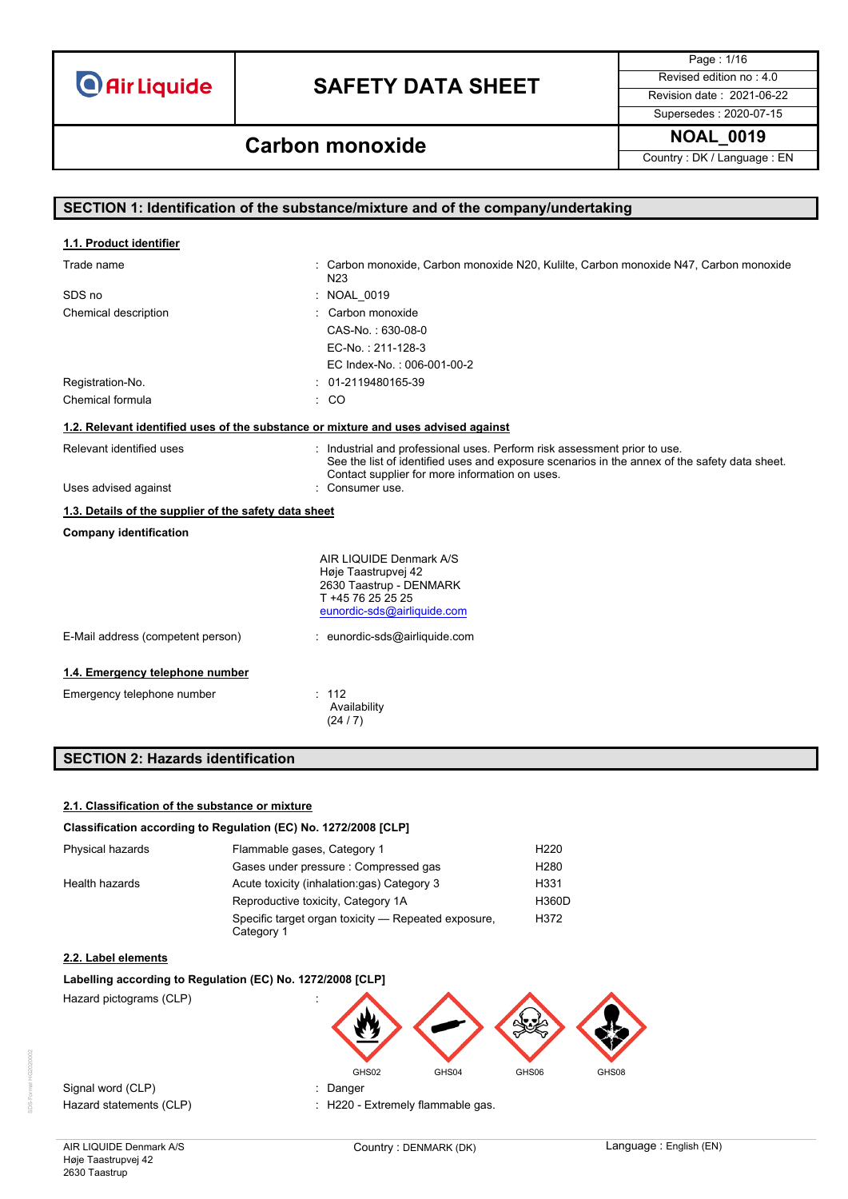## **SAFETY DATA SHEET** Revised edition no : 4.0

Page : 1/16 Supersedes : 2020-07-15

**NOAL\_0019 Carbon monoxide**

Country : DK / Language : EN

|                                                                                    | SECTION 1: Identification of the substance/mixture and of the company/undertaking                                                                                                                                            |
|------------------------------------------------------------------------------------|------------------------------------------------------------------------------------------------------------------------------------------------------------------------------------------------------------------------------|
|                                                                                    |                                                                                                                                                                                                                              |
| 1.1. Product identifier                                                            |                                                                                                                                                                                                                              |
| Trade name                                                                         | : Carbon monoxide, Carbon monoxide N20, Kulilte, Carbon monoxide N47, Carbon monoxide<br>N <sub>23</sub>                                                                                                                     |
| SDS no                                                                             | NOAL_0019                                                                                                                                                                                                                    |
| Chemical description                                                               | : Carbon monoxide                                                                                                                                                                                                            |
|                                                                                    | CAS-No.: 630-08-0                                                                                                                                                                                                            |
|                                                                                    | EC-No.: 211-128-3                                                                                                                                                                                                            |
|                                                                                    | EC Index-No.: 006-001-00-2                                                                                                                                                                                                   |
| Registration-No.                                                                   | $: 01-2119480165-39$                                                                                                                                                                                                         |
| Chemical formula                                                                   | $\therefore$ CO                                                                                                                                                                                                              |
| 1.2. Relevant identified uses of the substance or mixture and uses advised against |                                                                                                                                                                                                                              |
| Relevant identified uses                                                           | : Industrial and professional uses. Perform risk assessment prior to use.<br>See the list of identified uses and exposure scenarios in the annex of the safety data sheet.<br>Contact supplier for more information on uses. |
| Uses advised against                                                               | : Consumer use.                                                                                                                                                                                                              |
| 1.3. Details of the supplier of the safety data sheet                              |                                                                                                                                                                                                                              |
| <b>Company identification</b>                                                      |                                                                                                                                                                                                                              |
|                                                                                    | AIR LIQUIDE Denmark A/S                                                                                                                                                                                                      |
|                                                                                    | Høje Taastrupvej 42                                                                                                                                                                                                          |
|                                                                                    | 2630 Taastrup - DENMARK<br>T +45 76 25 25 25                                                                                                                                                                                 |
|                                                                                    | eunordic-sds@airliquide.com                                                                                                                                                                                                  |
| E-Mail address (competent person)                                                  | : eunordic-sds@airliquide.com                                                                                                                                                                                                |
| 1.4. Emergency telephone number                                                    |                                                                                                                                                                                                                              |
| Emergency telephone number                                                         | : 112<br>Availability<br>(24/7)                                                                                                                                                                                              |

### **SECTION 2: Hazards identification**

#### **2.1. Classification of the substance or mixture**

#### **Classification according to Regulation (EC) No. 1272/2008 [CLP]**

| Physical hazards | Flammable gases, Category 1                                       | H <sub>220</sub> |
|------------------|-------------------------------------------------------------------|------------------|
|                  | Gases under pressure: Compressed gas                              | H <sub>280</sub> |
| Health hazards   | Acute toxicity (inhalation:gas) Category 3                        | H331             |
|                  | Reproductive toxicity, Category 1A                                | <b>H360D</b>     |
|                  | Specific target organ toxicity — Repeated exposure,<br>Category 1 | H372             |

#### **2.2. Label elements**

#### **Labelling according to Regulation (EC) No. 1272/2008 [CLP]**

Hazard pictograms (CLP) :



Signal word (CLP) **in the set of the Signal word** (CLP) **in the Signal word** (CLP)

Hazard statements (CLP)  $\qquad \qquad$ : H220 - Extremely flammable gas.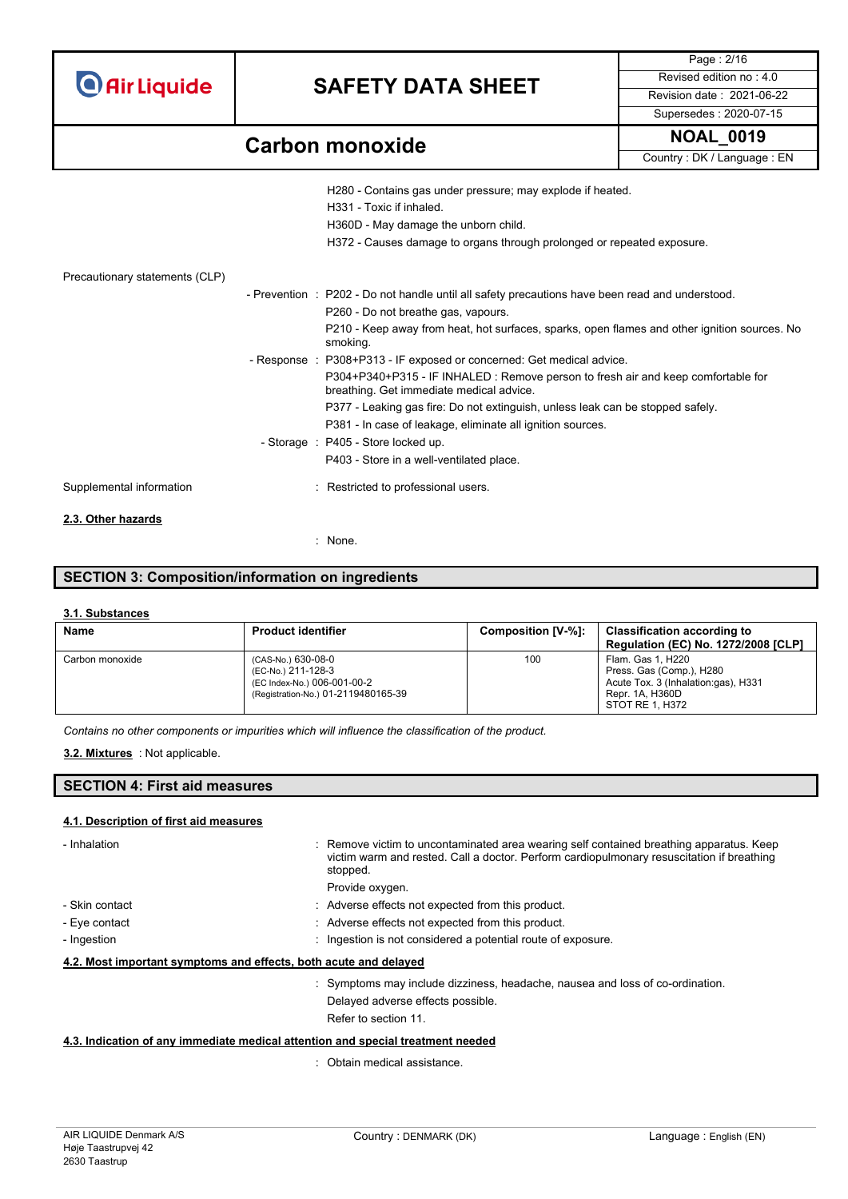| <b>O</b> Air Liquide |  |  |
|----------------------|--|--|
|                      |  |  |
|                      |  |  |

Page : 2/16 Supersedes : 2020-07-15

## **Carbon monoxide NOAL\_0019**

Country : DK / Language : EN

|                                | H280 - Contains gas under pressure; may explode if heated.<br>H331 - Toxic if inhaled.<br>H360D - May damage the unborn child.<br>H372 - Causes damage to organs through prolonged or repeated exposure. |
|--------------------------------|----------------------------------------------------------------------------------------------------------------------------------------------------------------------------------------------------------|
| Precautionary statements (CLP) |                                                                                                                                                                                                          |
|                                | - Prevention : P202 - Do not handle until all safety precautions have been read and understood.                                                                                                          |
|                                | P260 - Do not breathe gas, vapours.                                                                                                                                                                      |
|                                | P210 - Keep away from heat, hot surfaces, sparks, open flames and other ignition sources. No<br>smoking.                                                                                                 |
|                                | - Response : P308+P313 - IF exposed or concerned: Get medical advice.                                                                                                                                    |
|                                | P304+P340+P315 - IF INHALED : Remove person to fresh air and keep comfortable for<br>breathing. Get immediate medical advice.                                                                            |
|                                | P377 - Leaking gas fire: Do not extinguish, unless leak can be stopped safely.                                                                                                                           |
|                                | P381 - In case of leakage, eliminate all ignition sources.                                                                                                                                               |
|                                | - Storage : P405 - Store locked up.                                                                                                                                                                      |
|                                | P403 - Store in a well-ventilated place.                                                                                                                                                                 |
| Supplemental information       | : Restricted to professional users.                                                                                                                                                                      |
| 2.3. Other hazards             |                                                                                                                                                                                                          |
|                                | : None                                                                                                                                                                                                   |

### **SECTION 3: Composition/information on ingredients**

#### **3.1. Substances**

| <b>Name</b>     | <b>Product identifier</b>                                                                                      | Composition [V-%]: | <b>Classification according to</b><br>Regulation (EC) No. 1272/2008 [CLP]                                                  |
|-----------------|----------------------------------------------------------------------------------------------------------------|--------------------|----------------------------------------------------------------------------------------------------------------------------|
| Carbon monoxide | (CAS-No.) 630-08-0<br>(EC-No.) 211-128-3<br>(EC Index-No.) 006-001-00-2<br>(Registration-No.) 01-2119480165-39 | 100                | Flam. Gas 1, H220<br>Press. Gas (Comp.), H280<br>Acute Tox. 3 (Inhalation:gas), H331<br>Repr. 1A, H360D<br>STOT RE 1, H372 |

*Contains no other components or impurities which will influence the classification of the product.*

#### : Not applicable. **3.2. Mixtures**

### **SECTION 4: First aid measures**

#### **4.1. Description of first aid measures**

| - Inhalation                                                                    | : Remove victim to uncontaminated area wearing self contained breathing apparatus. Keep<br>victim warm and rested. Call a doctor. Perform cardiopulmonary resuscitation if breathing<br>stopped. |
|---------------------------------------------------------------------------------|--------------------------------------------------------------------------------------------------------------------------------------------------------------------------------------------------|
|                                                                                 | Provide oxygen.                                                                                                                                                                                  |
| - Skin contact                                                                  | : Adverse effects not expected from this product.                                                                                                                                                |
| - Eye contact                                                                   | : Adverse effects not expected from this product.                                                                                                                                                |
| - Ingestion                                                                     | : Ingestion is not considered a potential route of exposure.                                                                                                                                     |
| 4.2. Most important symptoms and effects, both acute and delayed                |                                                                                                                                                                                                  |
|                                                                                 | : Symptoms may include dizziness, headache, nausea and loss of co-ordination.                                                                                                                    |
|                                                                                 | Delayed adverse effects possible.                                                                                                                                                                |
|                                                                                 | Refer to section 11.                                                                                                                                                                             |
| 4.3. Indication of any immediate medical attention and special treatment needed |                                                                                                                                                                                                  |

: Obtain medical assistance.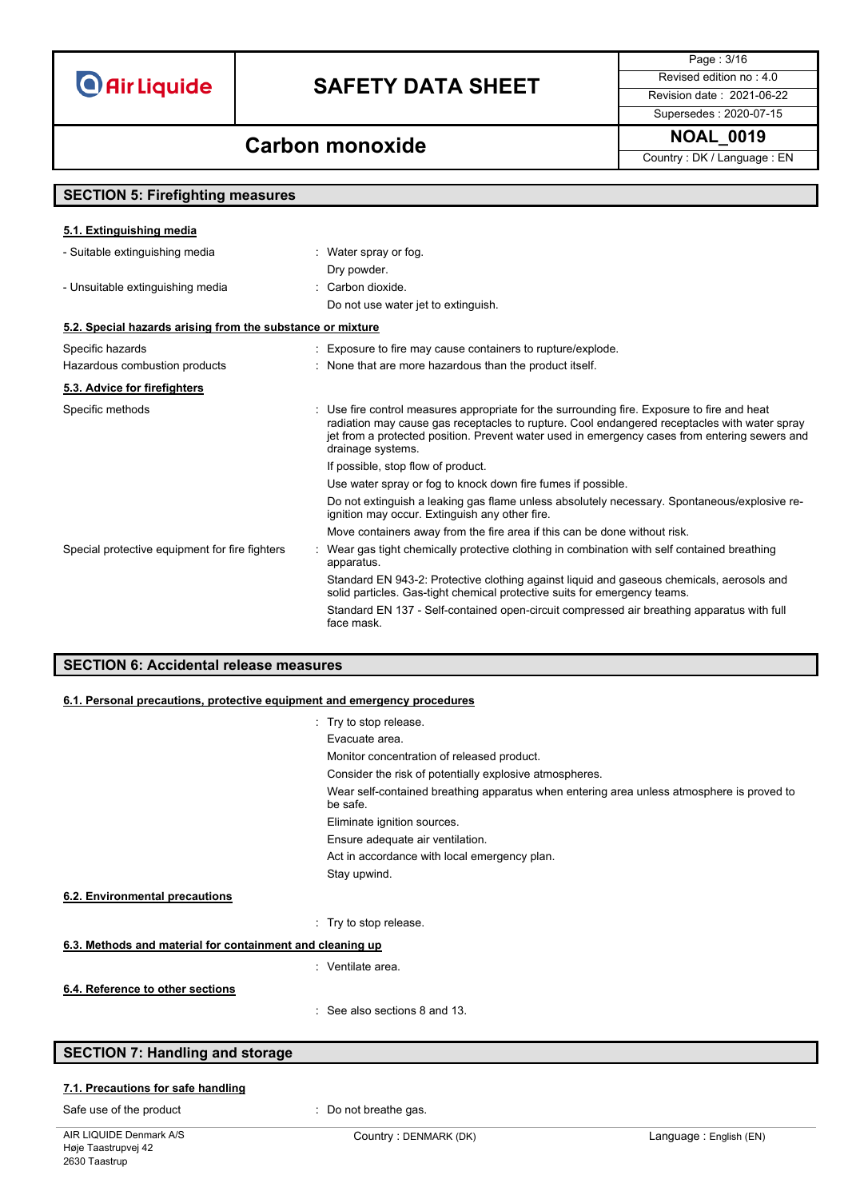## **SAFETY DATA SHEET** Revised edition no : 4.0

Page : 3/16

Supersedes : 2020-07-15

Country : DK / Language : EN

## **Carbon monoxide NOAL\_0019**

| <b>SECTION 5: Firefighting measures</b>                    |                                                                                                                                                                                                                                                                                                                   |
|------------------------------------------------------------|-------------------------------------------------------------------------------------------------------------------------------------------------------------------------------------------------------------------------------------------------------------------------------------------------------------------|
| 5.1. Extinguishing media                                   |                                                                                                                                                                                                                                                                                                                   |
| - Suitable extinguishing media                             | : Water spray or fog.<br>Dry powder.                                                                                                                                                                                                                                                                              |
| - Unsuitable extinguishing media                           | : Carbon dioxide.<br>Do not use water jet to extinguish.                                                                                                                                                                                                                                                          |
| 5.2. Special hazards arising from the substance or mixture |                                                                                                                                                                                                                                                                                                                   |
| Specific hazards                                           | : Exposure to fire may cause containers to rupture/explode.                                                                                                                                                                                                                                                       |
| Hazardous combustion products                              | : None that are more hazardous than the product itself.                                                                                                                                                                                                                                                           |
| 5.3. Advice for firefighters                               |                                                                                                                                                                                                                                                                                                                   |
| Specific methods                                           | : Use fire control measures appropriate for the surrounding fire. Exposure to fire and heat<br>radiation may cause gas receptacles to rupture. Cool endangered receptacles with water spray<br>jet from a protected position. Prevent water used in emergency cases from entering sewers and<br>drainage systems. |
|                                                            | If possible, stop flow of product.                                                                                                                                                                                                                                                                                |
|                                                            | Use water spray or fog to knock down fire fumes if possible.                                                                                                                                                                                                                                                      |
|                                                            | Do not extinguish a leaking gas flame unless absolutely necessary. Spontaneous/explosive re-<br>ignition may occur. Extinguish any other fire.                                                                                                                                                                    |
|                                                            | Move containers away from the fire area if this can be done without risk.                                                                                                                                                                                                                                         |
| Special protective equipment for fire fighters             | Wear gas tight chemically protective clothing in combination with self contained breathing<br>apparatus.                                                                                                                                                                                                          |
|                                                            | Standard EN 943-2: Protective clothing against liquid and gaseous chemicals, aerosols and<br>solid particles. Gas-tight chemical protective suits for emergency teams.                                                                                                                                            |
|                                                            | Standard EN 137 - Self-contained open-circuit compressed air breathing apparatus with full<br>face mask.                                                                                                                                                                                                          |

### **SECTION 6: Accidental release measures**

#### **6.1. Personal precautions, protective equipment and emergency procedures**

|                                                           | : Try to stop release.                                                                                |
|-----------------------------------------------------------|-------------------------------------------------------------------------------------------------------|
|                                                           | Evacuate area.                                                                                        |
|                                                           | Monitor concentration of released product.                                                            |
|                                                           | Consider the risk of potentially explosive atmospheres.                                               |
|                                                           | Wear self-contained breathing apparatus when entering area unless atmosphere is proved to<br>be safe. |
|                                                           | Eliminate ignition sources.                                                                           |
|                                                           | Ensure adequate air ventilation.                                                                      |
|                                                           | Act in accordance with local emergency plan.                                                          |
|                                                           | Stay upwind.                                                                                          |
| 6.2. Environmental precautions                            |                                                                                                       |
|                                                           | : Try to stop release.                                                                                |
| 6.3. Methods and material for containment and cleaning up |                                                                                                       |
|                                                           | : Ventilate area.                                                                                     |
| 6.4. Reference to other sections                          |                                                                                                       |
|                                                           | See also sections 8 and 13.                                                                           |

### **SECTION 7: Handling and storage**

#### **7.1. Precautions for safe handling**

Safe use of the product **interest of the product interest in the same of the product interest in the same of the product interest in the same of the product interest in the same of the product interest in the sam**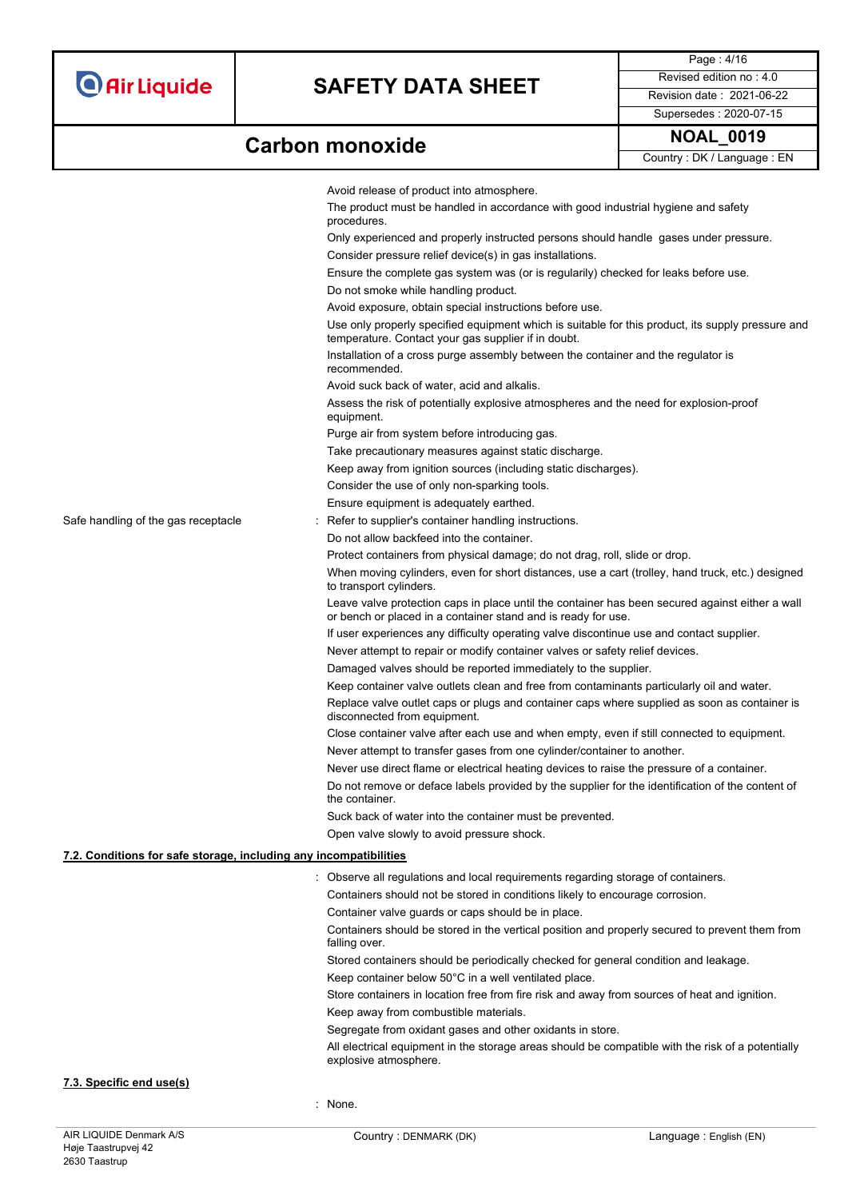Page : 4/16 Supersedes : 2020-07-15

# **Carbon monoxide NOAL\_0019**

|                          | <b>NOAL 0019</b> |  |  |
|--------------------------|------------------|--|--|
| Country DK / Language FN |                  |  |  |

|                                                                   |                                                                                                                                                                  | Country: DK / Language: EN |
|-------------------------------------------------------------------|------------------------------------------------------------------------------------------------------------------------------------------------------------------|----------------------------|
|                                                                   | Avoid release of product into atmosphere.                                                                                                                        |                            |
|                                                                   | The product must be handled in accordance with good industrial hygiene and safety<br>procedures.                                                                 |                            |
|                                                                   | Only experienced and properly instructed persons should handle gases under pressure.                                                                             |                            |
|                                                                   | Consider pressure relief device(s) in gas installations.                                                                                                         |                            |
|                                                                   | Ensure the complete gas system was (or is regularily) checked for leaks before use.                                                                              |                            |
|                                                                   | Do not smoke while handling product.                                                                                                                             |                            |
|                                                                   | Avoid exposure, obtain special instructions before use.                                                                                                          |                            |
|                                                                   | Use only properly specified equipment which is suitable for this product, its supply pressure and<br>temperature. Contact your gas supplier if in doubt.         |                            |
|                                                                   | Installation of a cross purge assembly between the container and the regulator is<br>recommended.                                                                |                            |
|                                                                   | Avoid suck back of water, acid and alkalis.                                                                                                                      |                            |
|                                                                   | Assess the risk of potentially explosive atmospheres and the need for explosion-proof<br>equipment.                                                              |                            |
|                                                                   | Purge air from system before introducing gas.                                                                                                                    |                            |
|                                                                   | Take precautionary measures against static discharge.                                                                                                            |                            |
|                                                                   | Keep away from ignition sources (including static discharges).                                                                                                   |                            |
|                                                                   | Consider the use of only non-sparking tools.                                                                                                                     |                            |
|                                                                   | Ensure equipment is adequately earthed.                                                                                                                          |                            |
| Safe handling of the gas receptacle                               | Refer to supplier's container handling instructions.                                                                                                             |                            |
|                                                                   | Do not allow backfeed into the container.                                                                                                                        |                            |
|                                                                   | Protect containers from physical damage; do not drag, roll, slide or drop.                                                                                       |                            |
|                                                                   | When moving cylinders, even for short distances, use a cart (trolley, hand truck, etc.) designed<br>to transport cylinders.                                      |                            |
|                                                                   | Leave valve protection caps in place until the container has been secured against either a wall<br>or bench or placed in a container stand and is ready for use. |                            |
|                                                                   | If user experiences any difficulty operating valve discontinue use and contact supplier.                                                                         |                            |
|                                                                   | Never attempt to repair or modify container valves or safety relief devices.                                                                                     |                            |
|                                                                   | Damaged valves should be reported immediately to the supplier.                                                                                                   |                            |
|                                                                   | Keep container valve outlets clean and free from contaminants particularly oil and water.                                                                        |                            |
|                                                                   | Replace valve outlet caps or plugs and container caps where supplied as soon as container is<br>disconnected from equipment.                                     |                            |
|                                                                   | Close container valve after each use and when empty, even if still connected to equipment.                                                                       |                            |
|                                                                   | Never attempt to transfer gases from one cylinder/container to another.                                                                                          |                            |
|                                                                   | Never use direct flame or electrical heating devices to raise the pressure of a container.                                                                       |                            |
|                                                                   | Do not remove or deface labels provided by the supplier for the identification of the content of<br>the container.                                               |                            |
|                                                                   | Suck back of water into the container must be prevented.                                                                                                         |                            |
|                                                                   | Open valve slowly to avoid pressure shock.                                                                                                                       |                            |
| 7.2. Conditions for safe storage, including any incompatibilities |                                                                                                                                                                  |                            |
|                                                                   | Observe all regulations and local requirements regarding storage of containers.                                                                                  |                            |
|                                                                   | Containers should not be stored in conditions likely to encourage corrosion.                                                                                     |                            |
|                                                                   | Container valve guards or caps should be in place.                                                                                                               |                            |
|                                                                   | Containers should be stored in the vertical position and properly secured to prevent them from<br>falling over.                                                  |                            |
|                                                                   | Stored containers should be periodically checked for general condition and leakage.                                                                              |                            |
|                                                                   | Keep container below 50°C in a well ventilated place.                                                                                                            |                            |
|                                                                   | Store containers in location free from fire risk and away from sources of heat and ignition.                                                                     |                            |
|                                                                   | Keep away from combustible materials.                                                                                                                            |                            |
|                                                                   | Segregate from oxidant gases and other oxidants in store.                                                                                                        |                            |
|                                                                   | All electrical cautings of the oterage areas should be compatible with the right of a petertially                                                                |                            |

All electrical equipment in the storage areas should be compatible with the risk of a potentially explosive atmosphere.

### **7.3. Specific end use(s)**

: None.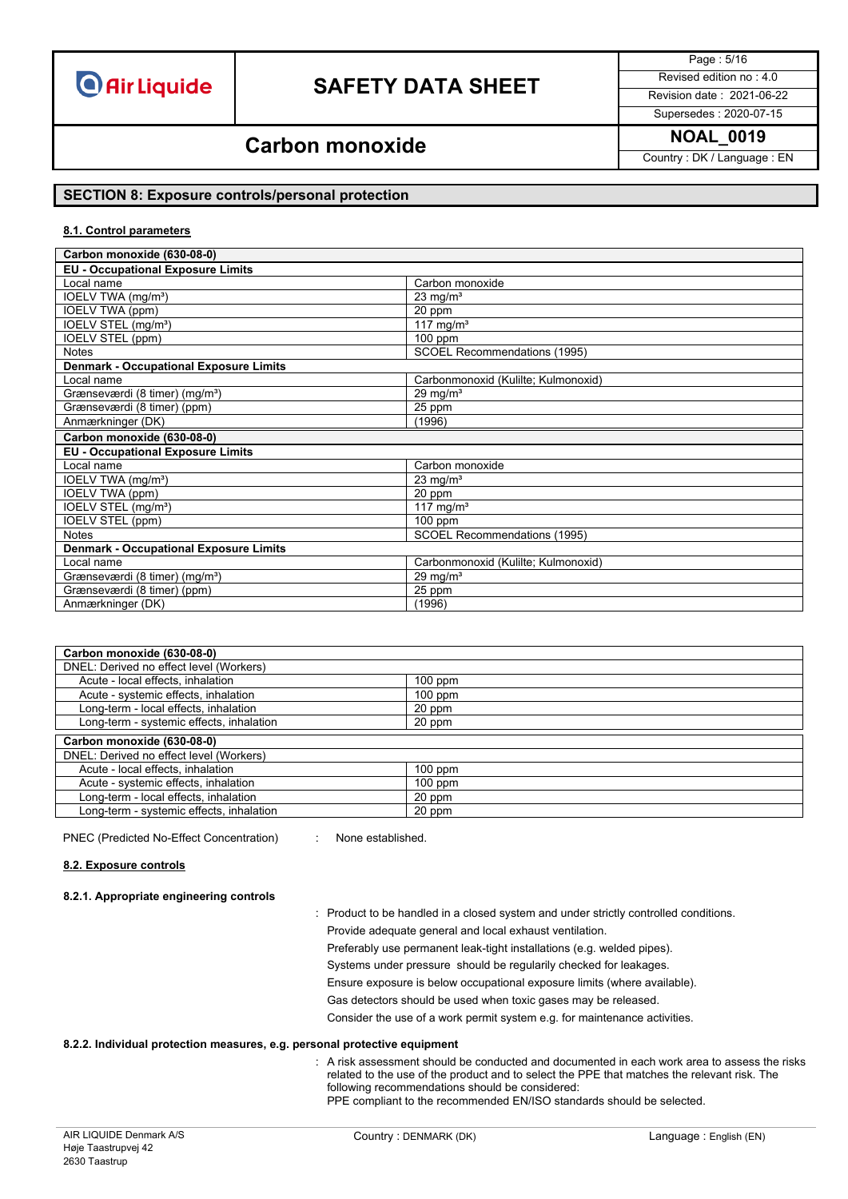

Page : 5/16

Supersedes : 2020-07-15

### **NOAL\_0019 Carbon monoxide**

Country : DK / Language : EN

### **SECTION 8: Exposure controls/personal protection**

#### **8.1. Control parameters**

| Carbon monoxide (630-08-0)                       |                                     |  |
|--------------------------------------------------|-------------------------------------|--|
| <b>EU - Occupational Exposure Limits</b>         |                                     |  |
| Local name                                       | Carbon monoxide                     |  |
| IOELV TWA (mg/m <sup>3</sup> )                   | $23 \text{ mg/m}^3$                 |  |
| IOELV TWA (ppm)                                  | 20 ppm                              |  |
| IOELV STEL (mg/m <sup>3</sup> )                  | 117 mg/m <sup>3</sup>               |  |
| IOELV STEL (ppm)                                 | $100$ ppm                           |  |
| <b>Notes</b>                                     | <b>SCOEL Recommendations (1995)</b> |  |
| <b>Denmark - Occupational Exposure Limits</b>    |                                     |  |
| Local name                                       | Carbonmonoxid (Kulilte; Kulmonoxid) |  |
| Grænseværdi (8 timer) (mg/m <sup>3</sup> )       | 29 mg/ $m3$                         |  |
| Grænseværdi (8 timer) (ppm)                      | 25 ppm                              |  |
| Anmærkninger (DK)                                | (1996)                              |  |
| Carbon monoxide (630-08-0)                       |                                     |  |
| <b>EU - Occupational Exposure Limits</b>         |                                     |  |
| Local name                                       | Carbon monoxide                     |  |
| IOELV TWA (mg/m <sup>3</sup> )                   | $23 \text{ mg/m}^3$                 |  |
| IOELV TWA (ppm)                                  | 20 ppm                              |  |
|                                                  |                                     |  |
| IOELV STEL (mg/m <sup>3</sup> )                  | 117 mg/m <sup>3</sup>               |  |
| IOELV STEL (ppm)                                 | $100$ ppm                           |  |
| <b>Notes</b>                                     | <b>SCOEL Recommendations (1995)</b> |  |
| <b>Denmark - Occupational Exposure Limits</b>    |                                     |  |
| Local name                                       | Carbonmonoxid (Kulilte; Kulmonoxid) |  |
| Grænseværdi (8 timer) (mg/m <sup>3</sup> )       | $29 \text{ mg/m}^3$                 |  |
| Grænseværdi (8 timer) (ppm)<br>Anmærkninger (DK) | 25 ppm<br>(1996)                    |  |

| Carbon monoxide (630-08-0)               |           |
|------------------------------------------|-----------|
| DNEL: Derived no effect level (Workers)  |           |
| Acute - local effects, inhalation        | $100$ ppm |
| Acute - systemic effects, inhalation     | $100$ ppm |
| Long-term - local effects, inhalation    | 20 ppm    |
| Long-term - systemic effects, inhalation | 20 ppm    |
| Carbon monoxide (630-08-0)               |           |
| DNEL: Derived no effect level (Workers)  |           |
| Acute - local effects, inhalation        | $100$ ppm |
| Acute - systemic effects, inhalation     | $100$ ppm |
| Long-term - local effects, inhalation    | 20 ppm    |
| Long-term - systemic effects, inhalation | 20 ppm    |

PNEC (Predicted No-Effect Concentration) : None established.

#### **8.2. Exposure controls**

#### **8.2.1. Appropriate engineering controls**

- : Product to be handled in a closed system and under strictly controlled conditions. Provide adequate general and local exhaust ventilation.
	- Preferably use permanent leak-tight installations (e.g. welded pipes).
	- Systems under pressure should be regularily checked for leakages.
	- Ensure exposure is below occupational exposure limits (where available).
	- Gas detectors should be used when toxic gases may be released.

Consider the use of a work permit system e.g. for maintenance activities.

#### **8.2.2. Individual protection measures, e.g. personal protective equipment**

: A risk assessment should be conducted and documented in each work area to assess the risks related to the use of the product and to select the PPE that matches the relevant risk. The following recommendations should be considered: PPE compliant to the recommended EN/ISO standards should be selected.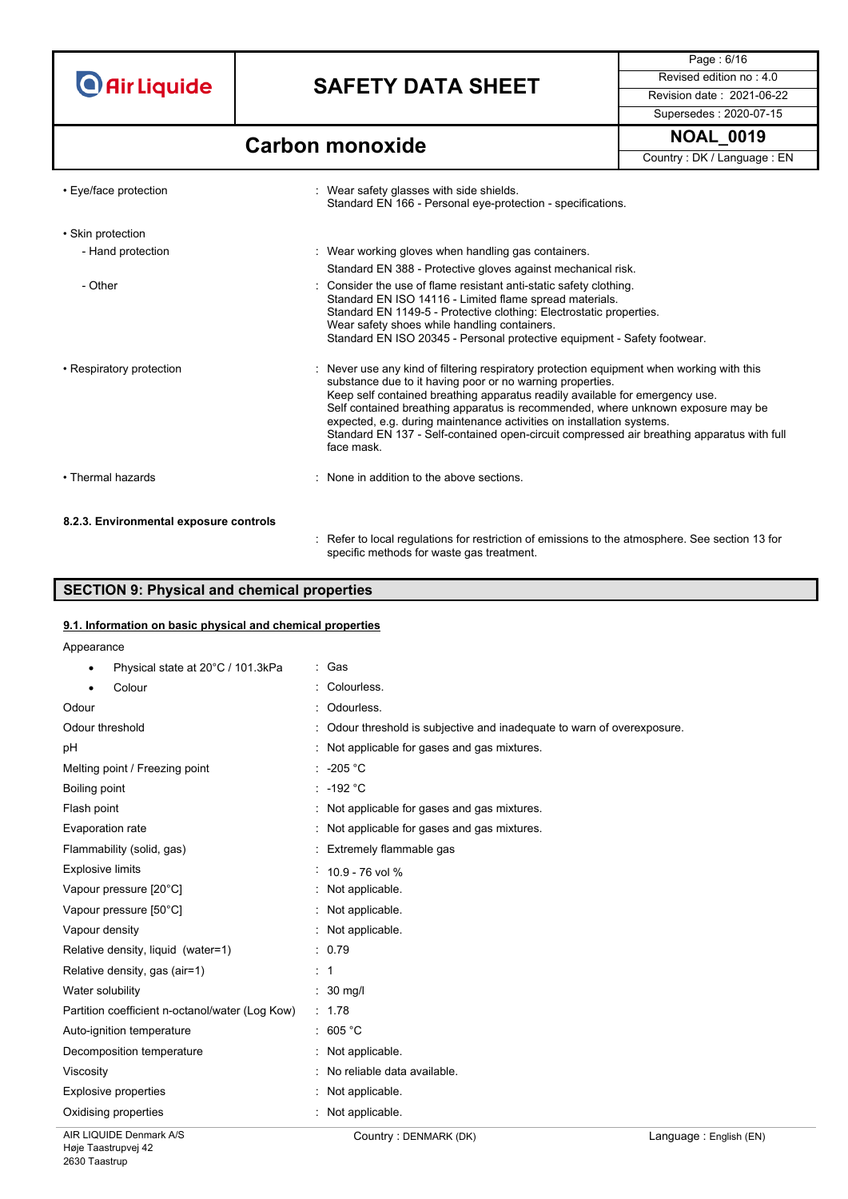## **SAFETY DATA SHEET** Revised edition no : 4.0

Supersedes : 2020-07-15

Page : 6/16

### **Carbon monoxide NOAL\_0019**

Country : DK / Language : EN

| • Eye/face protection                  | : Wear safety glasses with side shields.<br>Standard EN 166 - Personal eye-protection - specifications.                                                                                                                                                                                                                                                                                                                                                                                                         |
|----------------------------------------|-----------------------------------------------------------------------------------------------------------------------------------------------------------------------------------------------------------------------------------------------------------------------------------------------------------------------------------------------------------------------------------------------------------------------------------------------------------------------------------------------------------------|
| • Skin protection                      |                                                                                                                                                                                                                                                                                                                                                                                                                                                                                                                 |
| - Hand protection                      | : Wear working gloves when handling gas containers.                                                                                                                                                                                                                                                                                                                                                                                                                                                             |
|                                        | Standard EN 388 - Protective gloves against mechanical risk.                                                                                                                                                                                                                                                                                                                                                                                                                                                    |
| - Other                                | : Consider the use of flame resistant anti-static safety clothing.<br>Standard EN ISO 14116 - Limited flame spread materials.<br>Standard EN 1149-5 - Protective clothing: Electrostatic properties.<br>Wear safety shoes while handling containers.<br>Standard EN ISO 20345 - Personal protective equipment - Safety footwear.                                                                                                                                                                                |
| • Respiratory protection               | : Never use any kind of filtering respiratory protection equipment when working with this<br>substance due to it having poor or no warning properties.<br>Keep self contained breathing apparatus readily available for emergency use.<br>Self contained breathing apparatus is recommended, where unknown exposure may be<br>expected, e.g. during maintenance activities on installation systems.<br>Standard EN 137 - Self-contained open-circuit compressed air breathing apparatus with full<br>face mask. |
| • Thermal hazards                      | : None in addition to the above sections.                                                                                                                                                                                                                                                                                                                                                                                                                                                                       |
| 8.2.3. Environmental exposure controls |                                                                                                                                                                                                                                                                                                                                                                                                                                                                                                                 |
|                                        | Refer to local regulations for restriction of emissions to the atmosphere. See section 13 for<br>specific methods for waste gas treatment.                                                                                                                                                                                                                                                                                                                                                                      |

### **SECTION 9: Physical and chemical properties**

### **9.1. Information on basic physical and chemical properties**

Appearance

| Physical state at 20°C / 101.3kPa<br>$\bullet$  | : Gas                                                                 |
|-------------------------------------------------|-----------------------------------------------------------------------|
| Colour                                          | Colourless.                                                           |
| Odour                                           | Odourless.                                                            |
| Odour threshold                                 | Odour threshold is subjective and inadequate to warn of overexposure. |
| pH                                              | : Not applicable for gases and gas mixtures.                          |
| Melting point / Freezing point                  | $: -205 °C$                                                           |
| Boiling point                                   | $: -192 °C$                                                           |
| Flash point                                     | : Not applicable for gases and gas mixtures.                          |
| Evaporation rate                                | Not applicable for gases and gas mixtures.                            |
| Flammability (solid, gas)                       | Extremely flammable gas                                               |
| <b>Explosive limits</b>                         | $10.9 - 76$ vol %                                                     |
| Vapour pressure [20°C]                          | Not applicable.                                                       |
| Vapour pressure [50°C]                          | : Not applicable.                                                     |
| Vapour density                                  | : Not applicable.                                                     |
| Relative density, liquid (water=1)              | : 0.79                                                                |
| Relative density, gas (air=1)                   | $\therefore$ 1                                                        |
| Water solubility                                | $\therefore$ 30 mg/                                                   |
| Partition coefficient n-octanol/water (Log Kow) | : 1.78                                                                |
| Auto-ignition temperature                       | : 605 °C                                                              |
| Decomposition temperature                       | : Not applicable.                                                     |
| Viscosity                                       | No reliable data available.                                           |
| Explosive properties                            | Not applicable.                                                       |
| Oxidising properties                            | Not applicable.                                                       |
|                                                 |                                                                       |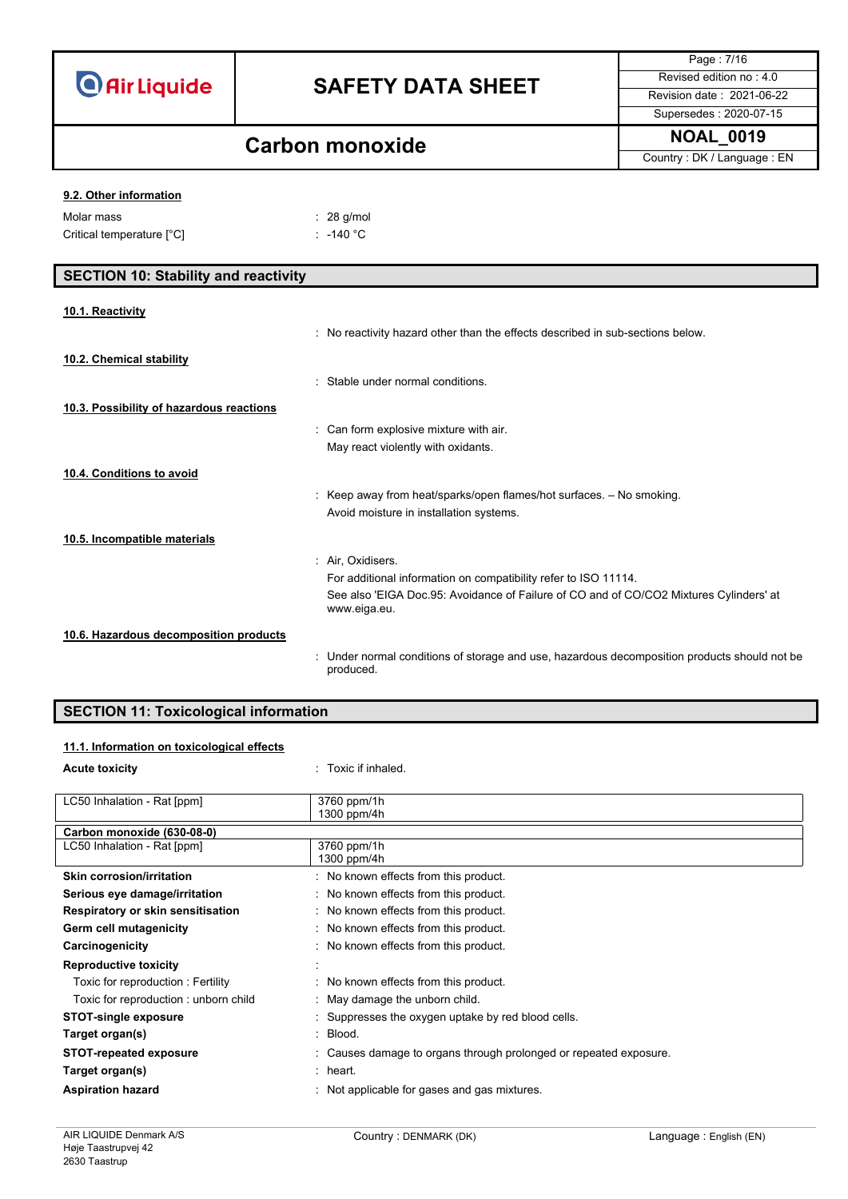| <b>O</b> Air Liquide |  |  |
|----------------------|--|--|
|                      |  |  |

Page : 7/16 Supersedes : 2020-07-15

## **Carbon monoxide NOAL\_0019**

 $: 28$  g/mol

Country : DK / Language : EN

### **9.2. Other information**

| Molar mass                | $\therefore$ 28 g/mo |
|---------------------------|----------------------|
| Critical temperature [°C] | : -140 °C            |

| <b>SECTION 10: Stability and reactivity</b> |                                                                                                         |
|---------------------------------------------|---------------------------------------------------------------------------------------------------------|
| 10.1. Reactivity                            |                                                                                                         |
|                                             | No reactivity hazard other than the effects described in sub-sections below.                            |
| 10.2. Chemical stability                    |                                                                                                         |
|                                             | Stable under normal conditions.                                                                         |
| 10.3. Possibility of hazardous reactions    |                                                                                                         |
|                                             | Can form explosive mixture with air.<br>÷                                                               |
|                                             | May react violently with oxidants.                                                                      |
| 10.4. Conditions to avoid                   |                                                                                                         |
|                                             | Keep away from heat/sparks/open flames/hot surfaces. - No smoking.                                      |
|                                             | Avoid moisture in installation systems.                                                                 |
| 10.5. Incompatible materials                |                                                                                                         |
|                                             | Air, Oxidisers.<br>÷                                                                                    |
|                                             | For additional information on compatibility refer to ISO 11114.                                         |
|                                             | See also 'EIGA Doc.95: Avoidance of Failure of CO and of CO/CO2 Mixtures Cylinders' at<br>www.eiga.eu.  |
| 10.6. Hazardous decomposition products      |                                                                                                         |
|                                             | Under normal conditions of storage and use, hazardous decomposition products should not be<br>produced. |

### **SECTION 11: Toxicological information**

### **11.1. Information on toxicological effects**

| <b>Acute toxicity</b>                | : Toxic if inhaled.                                               |
|--------------------------------------|-------------------------------------------------------------------|
|                                      |                                                                   |
| LC50 Inhalation - Rat [ppm]          | 3760 ppm/1h                                                       |
|                                      | 1300 ppm/4h                                                       |
| Carbon monoxide (630-08-0)           |                                                                   |
| LC50 Inhalation - Rat [ppm]          | 3760 ppm/1h                                                       |
|                                      | 1300 ppm/4h                                                       |
| <b>Skin corrosion/irritation</b>     | : No known effects from this product.                             |
| Serious eye damage/irritation        | : No known effects from this product.                             |
| Respiratory or skin sensitisation    | : No known effects from this product.                             |
| Germ cell mutagenicity               | : No known effects from this product.                             |
| Carcinogenicity                      | : No known effects from this product.                             |
| <b>Reproductive toxicity</b>         |                                                                   |
| Toxic for reproduction: Fertility    | : No known effects from this product.                             |
| Toxic for reproduction: unborn child | : May damage the unborn child.                                    |
| <b>STOT-single exposure</b>          | : Suppresses the oxygen uptake by red blood cells.                |
| Target organ(s)                      | : Blood.                                                          |
| <b>STOT-repeated exposure</b>        | : Causes damage to organs through prolonged or repeated exposure. |
| Target organ(s)                      | $:$ heart.                                                        |
| <b>Aspiration hazard</b>             | : Not applicable for gases and gas mixtures.                      |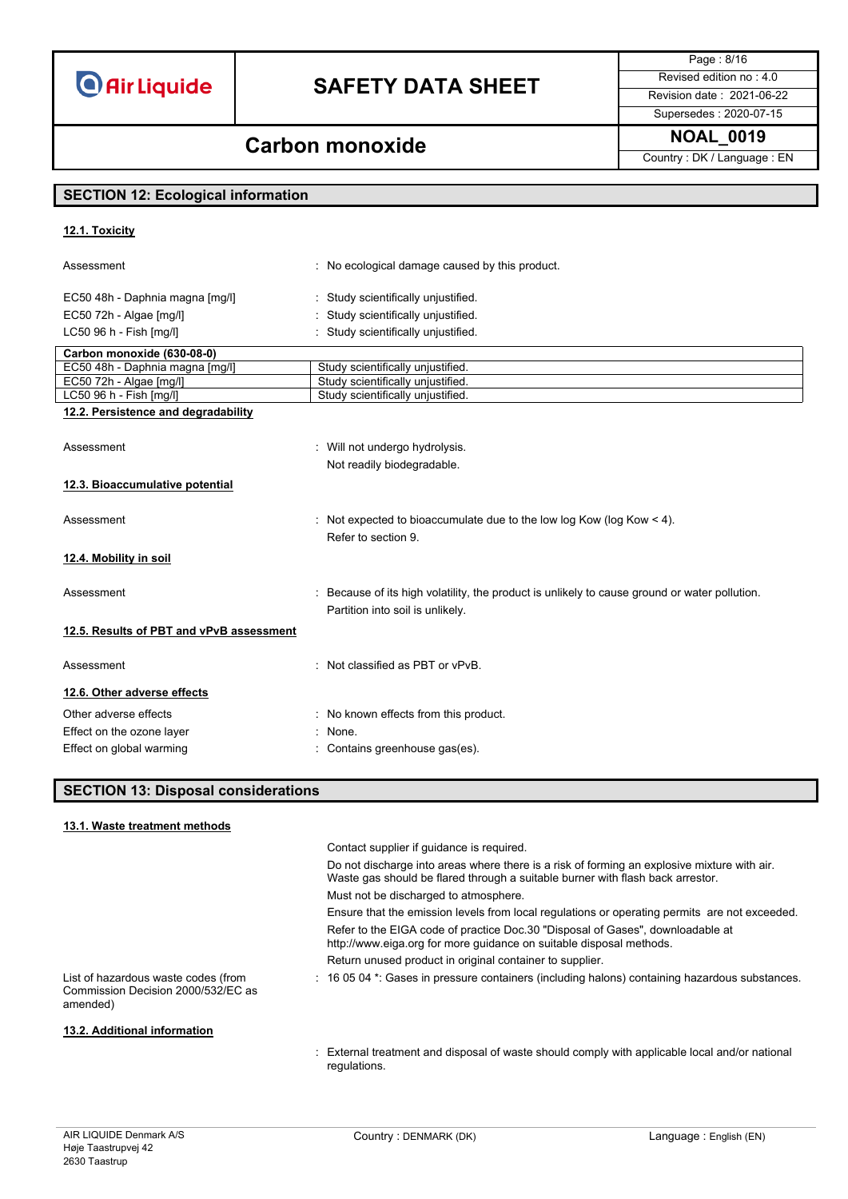## **SAFETY DATA SHEET** Revised edition no : 4.0

Page : 8/16 Supersedes : 2020-07-15

### **NOAL\_0019 Carbon monoxide**

Country : DK / Language : EN

### **SECTION 12: Ecological information**

### **12.1. Toxicity** Assessment **Example 20** Assessment : No ecological damage caused by this product. EC50 48h - Daphnia magna [mg/l] : Study scientifically unjustified. EC50 72h - Algae [mg/l] **interpretent in the C50 72h** - Algae [mg/l] LC50 96 h - Fish [mg/l]  $\qquad \qquad$ : Study scientifically unjustified. **Carbon monoxide (630-08-0)** EC50 48h - Daphnia magna [mg/l] Study scientifically unjustified.<br>EC50 72h - Algae [mg/l] Study scientifically unjustified. EC50 72h - Algae [mg/l] Study scientifically unjustified<br>
LC50 96 h - Fish [mg/l] Study scientifically unjustified **Study scientifically unjustified 12.2. Persistence and degradability** Assessment **in the absolute of the COV** and Mill not undergo hydrolysis. Not readily biodegradable. **12.3. Bioaccumulative potential** Assessment : Not expected to bioaccumulate due to the low log Kow (log Kow < 4). Refer to section 9. **12.4. Mobility in soil** Assessment example in the secause of its high volatility, the product is unlikely to cause ground or water pollution. Partition into soil is unlikely. **12.5. Results of PBT and vPvB assessment** Assessment : Not classified as PBT or vPvB. **12.6. Other adverse effects** Other adverse effects **in the case of the COLO** control in No known effects from this product. Effect on the ozone layer **in the set of the set of the Second** Second Effect on the ozone layer Effect on global warming **Effect** on global warming  $\cdot$  Contains greenhouse gas(es).

### **SECTION 13: Disposal considerations**

#### **13.1. Waste treatment methods**

|                                                                                       | Contact supplier if quidance is required.                                                                                                                                     |
|---------------------------------------------------------------------------------------|-------------------------------------------------------------------------------------------------------------------------------------------------------------------------------|
|                                                                                       | Do not discharge into areas where there is a risk of forming an explosive mixture with air.<br>Waste gas should be flared through a suitable burner with flash back arrestor. |
|                                                                                       | Must not be discharged to atmosphere.                                                                                                                                         |
|                                                                                       | Ensure that the emission levels from local regulations or operating permits are not exceeded.                                                                                 |
|                                                                                       | Refer to the EIGA code of practice Doc.30 "Disposal of Gases", downloadable at<br>http://www.eiga.org for more guidance on suitable disposal methods.                         |
|                                                                                       | Return unused product in original container to supplier.                                                                                                                      |
| List of hazardous waste codes (from<br>Commission Decision 2000/532/EC as<br>amended) | : 16 05 04 *: Gases in pressure containers (including halons) containing hazardous substances.                                                                                |
| 13.2. Additional information                                                          |                                                                                                                                                                               |

: External treatment and disposal of waste should comply with applicable local and/or national regulations.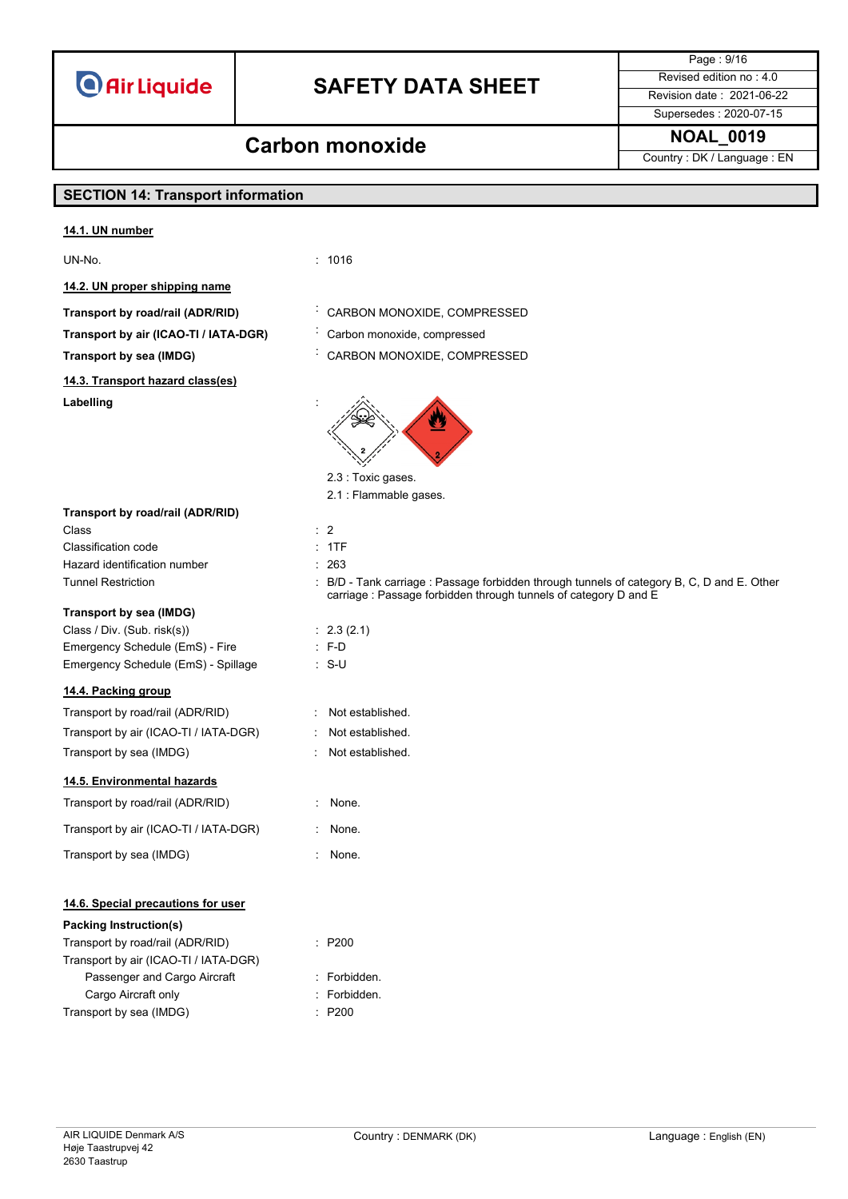## **SAFETY DATA SHEET** Revised edition no : 4.0

Supersedes : 2020-07-15

Page : 9/16

### **NOAL\_0019 Carbon monoxide**

Country : DK / Language : EN

### **SECTION 14: Transport information**

#### **14.1. UN number**

UN-No. : 1016

**14.2. UN proper shipping name**

**Transport by road/rail (ADR/RID)** : CARBON MONOXIDE, COMPRESSED

**Transport by air (ICAO-TI / IATA-DGR)** : Carbon monoxide, compressed

**Transport by sea (IMDG)** : CARBON MONOXIDE, COMPRESSED

**14.3. Transport hazard class(es)**

**Transport by road/rail (ADR/RID)**

Labelling





- 2.3 : Toxic gases. 2.1 : Flammable gases.
- Class : 2
	- -
- Tunnel Restriction : B/D Tank carriage : Passage forbidden through tunnels of category B, C, D and E. Other carriage : Passage forbidden through tunnels of category D and E
	-
	-
	-
	- -
		-
	-
	-
	-
- **14.6. Special precautions for user**

#### **Packing Instruction(s)**

| Transport by road/rail (ADR/RID)      |
|---------------------------------------|
| Transport by air (ICAO-TI / IATA-DGR) |
| Passenger and Cargo Aircraft          |
| Cargo Aircraft only                   |
| Transport by sea (IMDG)               |

- $P200$
- : Forbidden.
- : Forbidden.
- $P200$

Classification code : 1TF Hazard identification number : 263 **Transport by sea (IMDG)**

### Class / Div. (Sub. risk(s)) : 2.3 (2.1) Emergency Schedule (EmS) - Fire : F-D Emergency Schedule (EmS) - Spillage : S-U

### **14.4. Packing group**

| 14.4. Fackling group                  |                    |
|---------------------------------------|--------------------|
| Transport by road/rail (ADR/RID)      | Not established.   |
| Transport by air (ICAO-TI / IATA-DGR) | Not established.   |
| Transport by sea (IMDG)               | : Not established. |
| 14.5. Environmental hazards           |                    |
| Transport by road/rail (ADR/RID)      | None.              |
| Transport by air (ICAO-TI / IATA-DGR) | None.              |
| Transport by sea (IMDG)               | None.              |
|                                       |                    |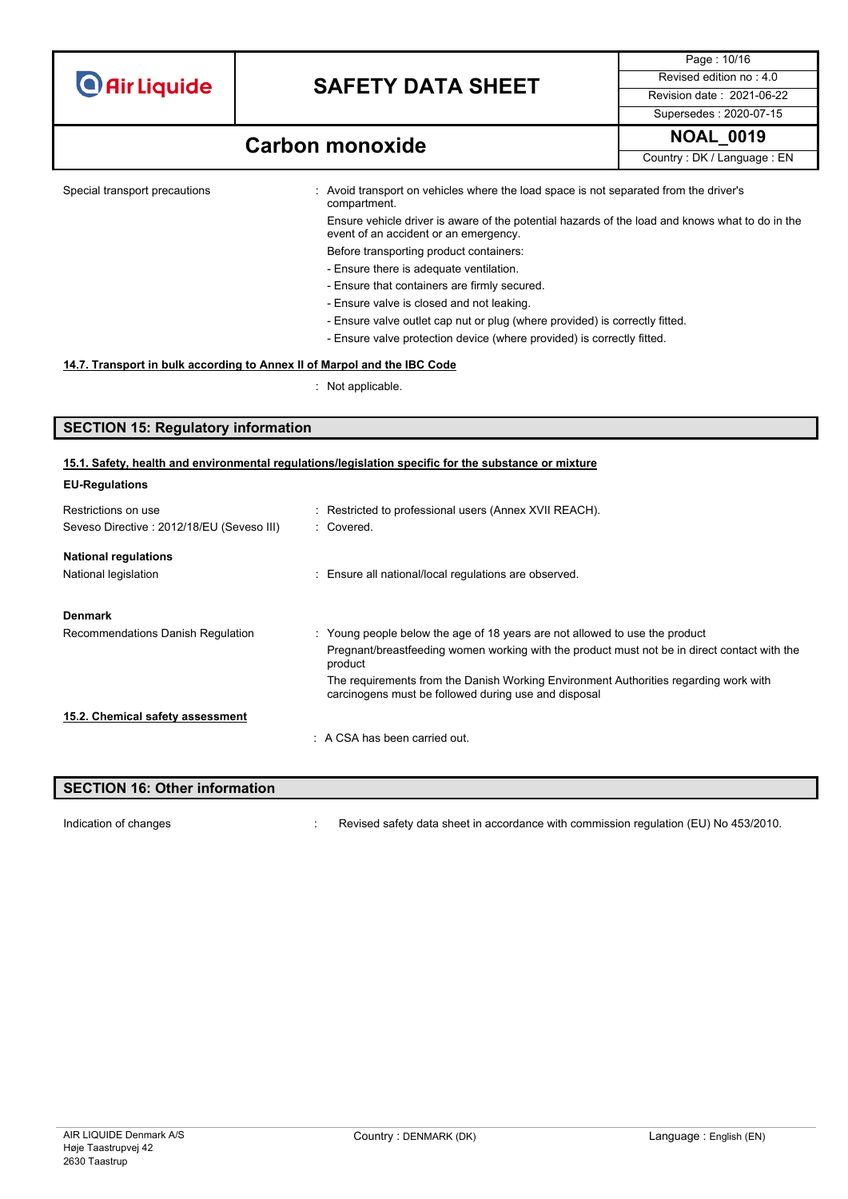|  | <b>O</b> Air Liquide |  |
|--|----------------------|--|
|  |                      |  |

Page : 10/16 Supersedes : 2020-07-15

### **NOAL\_0019 Carbon monoxide**

Country : DK / Language : EN

Special transport precautions : Avoid transport on vehicles where the load space is not separated from the driver's compartment.

Ensure vehicle driver is aware of the potential hazards of the load and knows what to do in the event of an accident or an emergency.

- Before transporting product containers: - Ensure there is adequate ventilation.
- Ensure that containers are firmly secured.
- Ensure valve is closed and not leaking.
- Ensure valve outlet cap nut or plug (where provided) is correctly fitted.
- Ensure valve protection device (where provided) is correctly fitted.

#### **14.7. Transport in bulk according to Annex II of Marpol and the IBC Code**

: Not applicable.

### **SECTION 15: Regulatory information**

#### **15.1. Safety, health and environmental regulations/legislation specific for the substance or mixture**

| <b>EU-Regulations</b>                      |                                                                                                                                              |
|--------------------------------------------|----------------------------------------------------------------------------------------------------------------------------------------------|
| Restrictions on use                        | : Restricted to professional users (Annex XVII REACH).                                                                                       |
| Seveso Directive : 2012/18/EU (Seveso III) | : Covered.                                                                                                                                   |
| <b>National regulations</b>                |                                                                                                                                              |
| National legislation                       | : Ensure all national/local regulations are observed.                                                                                        |
| Denmark                                    |                                                                                                                                              |
| Recommendations Danish Regulation          | : Young people below the age of 18 years are not allowed to use the product                                                                  |
|                                            | Pregnant/breastfeeding women working with the product must not be in direct contact with the<br>product                                      |
|                                            | The requirements from the Danish Working Environment Authorities regarding work with<br>carcinogens must be followed during use and disposal |
| 15.2. Chemical safety assessment           |                                                                                                                                              |
|                                            | $\therefore$ A CSA has been carried out.                                                                                                     |

| <b>SECTION 16: Other information</b> |                                                                                      |
|--------------------------------------|--------------------------------------------------------------------------------------|
|                                      |                                                                                      |
| Indication of changes                | Revised safety data sheet in accordance with commission regulation (EU) No 453/2010. |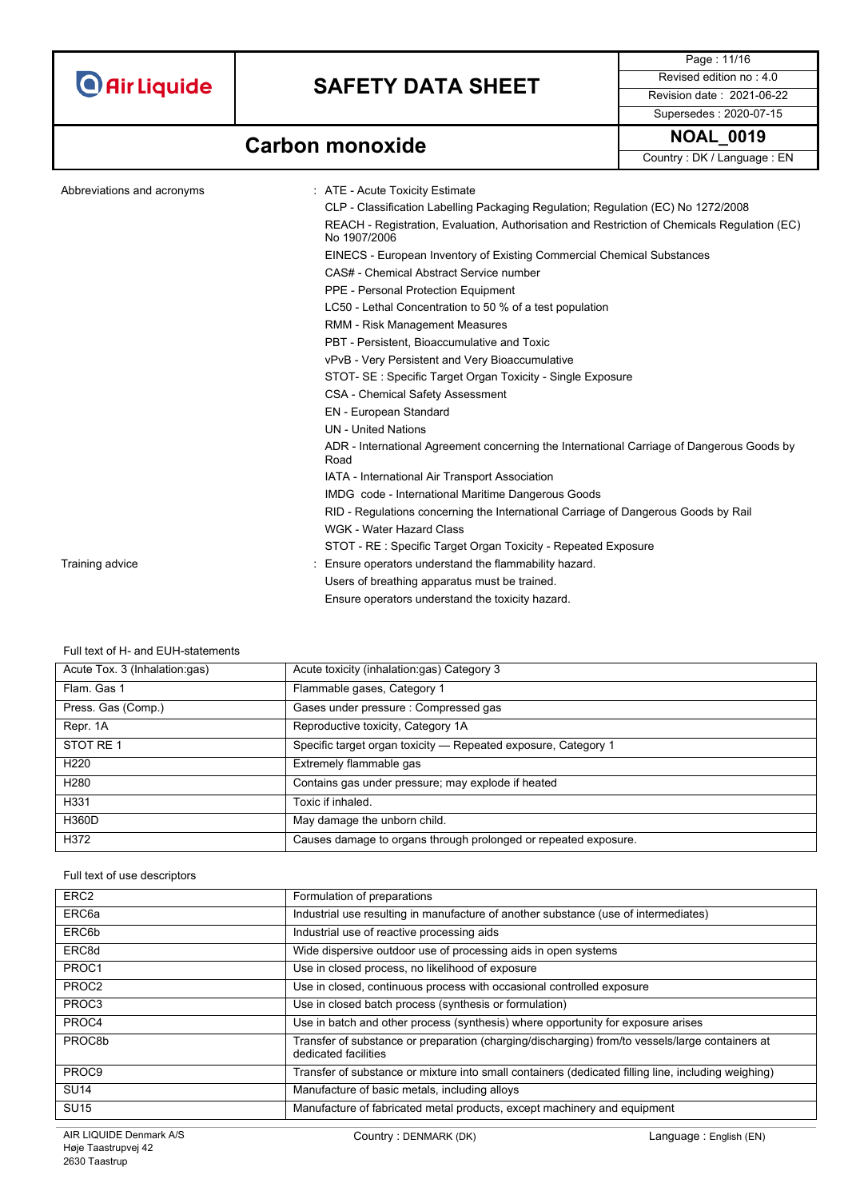

Page : 11/16 Supersedes : 2020-07-15

## **Carbon monoxide NOAL\_0019**

Country : DK / Language : EN

| Abbreviations and acronyms | : ATE - Acute Toxicity Estimate                                                                              |
|----------------------------|--------------------------------------------------------------------------------------------------------------|
|                            | CLP - Classification Labelling Packaging Regulation; Regulation (EC) No 1272/2008                            |
|                            | REACH - Registration, Evaluation, Authorisation and Restriction of Chemicals Regulation (EC)<br>No 1907/2006 |
|                            | EINECS - European Inventory of Existing Commercial Chemical Substances                                       |
|                            | CAS# - Chemical Abstract Service number                                                                      |
|                            | <b>PPE - Personal Protection Equipment</b>                                                                   |
|                            | LC50 - Lethal Concentration to 50 % of a test population                                                     |
|                            | <b>RMM - Risk Management Measures</b>                                                                        |
|                            | PBT - Persistent. Bioaccumulative and Toxic                                                                  |
|                            | vPvB - Very Persistent and Very Bioaccumulative                                                              |
|                            | STOT- SE: Specific Target Organ Toxicity - Single Exposure                                                   |
|                            | <b>CSA - Chemical Safety Assessment</b>                                                                      |
|                            | EN - European Standard                                                                                       |
|                            | <b>UN</b> - United Nations                                                                                   |
|                            | ADR - International Agreement concerning the International Carriage of Dangerous Goods by<br>Road            |
|                            | IATA - International Air Transport Association                                                               |
|                            | IMDG code - International Maritime Dangerous Goods                                                           |
|                            | RID - Regulations concerning the International Carriage of Dangerous Goods by Rail                           |
|                            | WGK - Water Hazard Class                                                                                     |
|                            | STOT - RE: Specific Target Organ Toxicity - Repeated Exposure                                                |
| Training advice            | Ensure operators understand the flammability hazard.                                                         |
|                            | Users of breathing apparatus must be trained.                                                                |
|                            | Ensure operators understand the toxicity hazard.                                                             |

Full text of H- and EUH-statements

| Acute Tox. 3 (Inhalation:gas) | Acute toxicity (inhalation:gas) Category 3                      |
|-------------------------------|-----------------------------------------------------------------|
| Flam, Gas 1                   | Flammable gases, Category 1                                     |
| Press. Gas (Comp.)            | Gases under pressure : Compressed gas                           |
| Repr. 1A                      | Reproductive toxicity, Category 1A                              |
| STOT RE 1                     | Specific target organ toxicity - Repeated exposure, Category 1  |
| H <sub>220</sub>              | Extremely flammable gas                                         |
| H <sub>280</sub>              | Contains gas under pressure; may explode if heated              |
| H331                          | Toxic if inhaled.                                               |
| H360D                         | May damage the unborn child.                                    |
| H372                          | Causes damage to organs through prolonged or repeated exposure. |

#### Full text of use descriptors

| ERC <sub>2</sub>  | Formulation of preparations                                                                                             |
|-------------------|-------------------------------------------------------------------------------------------------------------------------|
| ERC <sub>6a</sub> | Industrial use resulting in manufacture of another substance (use of intermediates)                                     |
| ERC6b             | Industrial use of reactive processing aids                                                                              |
| ERC8d             | Wide dispersive outdoor use of processing aids in open systems                                                          |
| PROC1             | Use in closed process, no likelihood of exposure                                                                        |
| PROC <sub>2</sub> | Use in closed, continuous process with occasional controlled exposure                                                   |
| PROC3             | Use in closed batch process (synthesis or formulation)                                                                  |
| PROC4             | Use in batch and other process (synthesis) where opportunity for exposure arises                                        |
| PROC8b            | Transfer of substance or preparation (charging/discharging) from/to vessels/large containers at<br>dedicated facilities |
| PROC <sub>9</sub> | Transfer of substance or mixture into small containers (dedicated filling line, including weighing)                     |
| <b>SU14</b>       | Manufacture of basic metals, including alloys                                                                           |
| <b>SU15</b>       | Manufacture of fabricated metal products, except machinery and equipment                                                |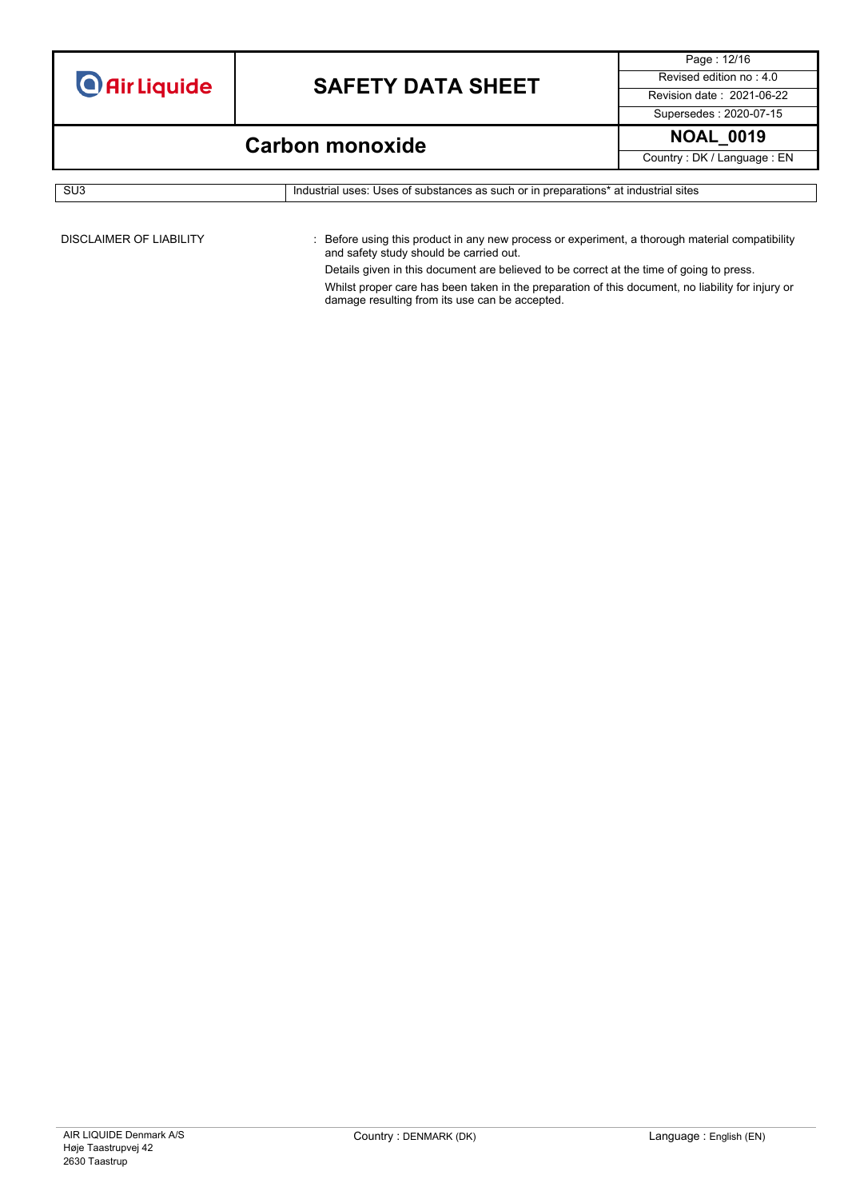Page : 12/16 Supersedes : 2020-07-15

## **Carbon monoxide NOAL\_0019**

Country : DK / Language : EN

```
SU3 Industrial uses: Uses of substances as such or in preparations* at industrial sites
```
DISCLAIMER OF LIABILITY : Before using this product in any new process or experiment, a thorough material compatibility and safety study should be carried out.

> Details given in this document are believed to be correct at the time of going to press. Whilst proper care has been taken in the preparation of this document, no liability for injury or damage resulting from its use can be accepted.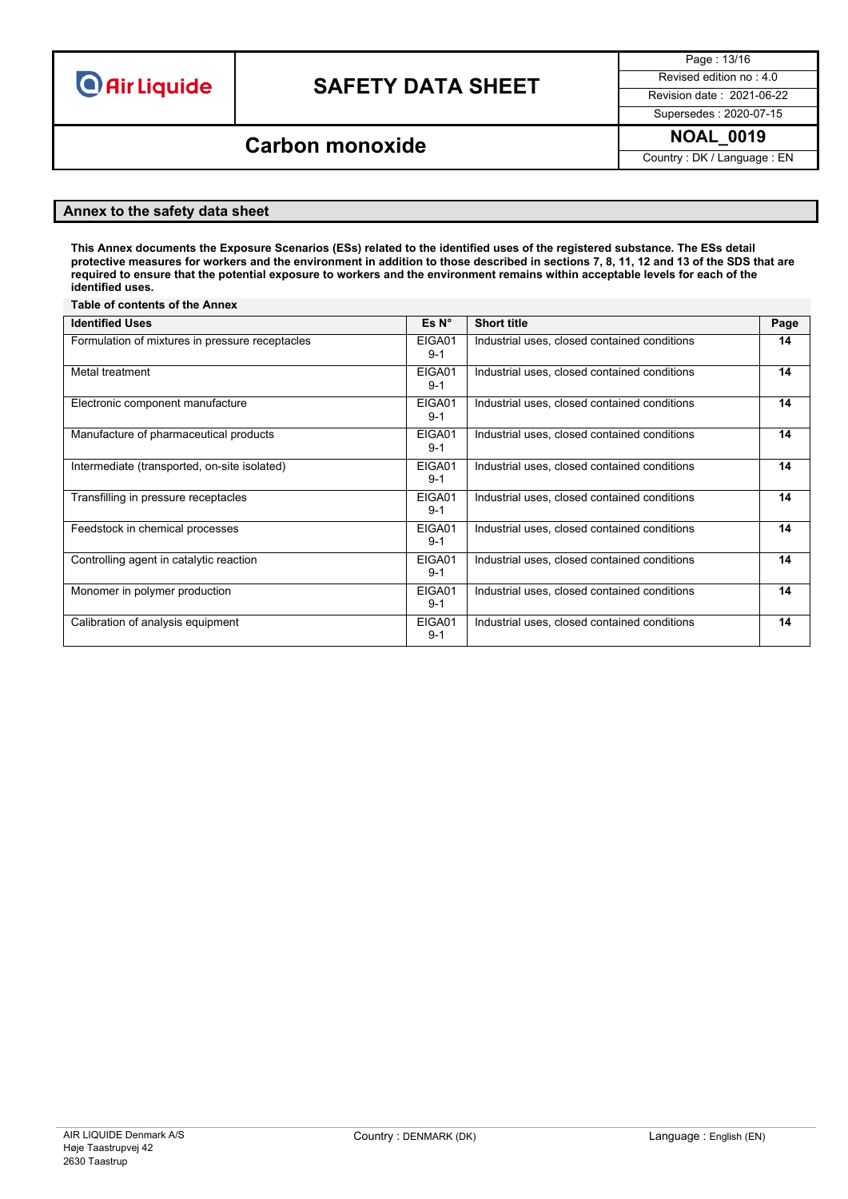## **SAFETY DATA SHEET** Revised edition no : 4.0

Page : 13/16

Supersedes : 2020-07-15

### **NOAL\_0019 Carbon monoxide**

Country : DK / Language : EN

#### **Annex to the safety data sheet**

This Annex documents the Exposure Scenarios (ESs) related to the identified uses of the registered substance. The ESs detail protective measures for workers and the environment in addition to those described in sections 7, 8, 11, 12 and 13 of the SDS that are required to ensure that the potential exposure to workers and the environment remains within acceptable levels for each of the **identified uses.**

#### **Table of contents of the Annex Identified Uses Es N° Short title Page** Formulation of mixtures in pressure receptacles EIGA01 9-1 Industrial uses, closed contained conditions **14** Metal treatment EIGA01 9-1 Industrial uses, closed contained conditions **14** Electronic component manufacture EIGA01 9-1 Industrial uses, closed contained conditions **14** Manufacture of pharmaceutical products EIGA01 9-1 Industrial uses, closed contained conditions **14** Intermediate (transported, on-site isolated) EIGA01 9-1 Industrial uses, closed contained conditions **14** Transfilling in pressure receptacles EIGA01 9-1 Industrial uses, closed contained conditions **14** Feedstock in chemical processes EIGA01 9-1 Industrial uses, closed contained conditions **14** Controlling agent in catalytic reaction EIGA01 9-1 Industrial uses, closed contained conditions **14** Monomer in polymer production EIGA01 9-1 Industrial uses, closed contained conditions **14** Calibration of analysis equipment EIGA01 9-1 Industrial uses, closed contained conditions **14**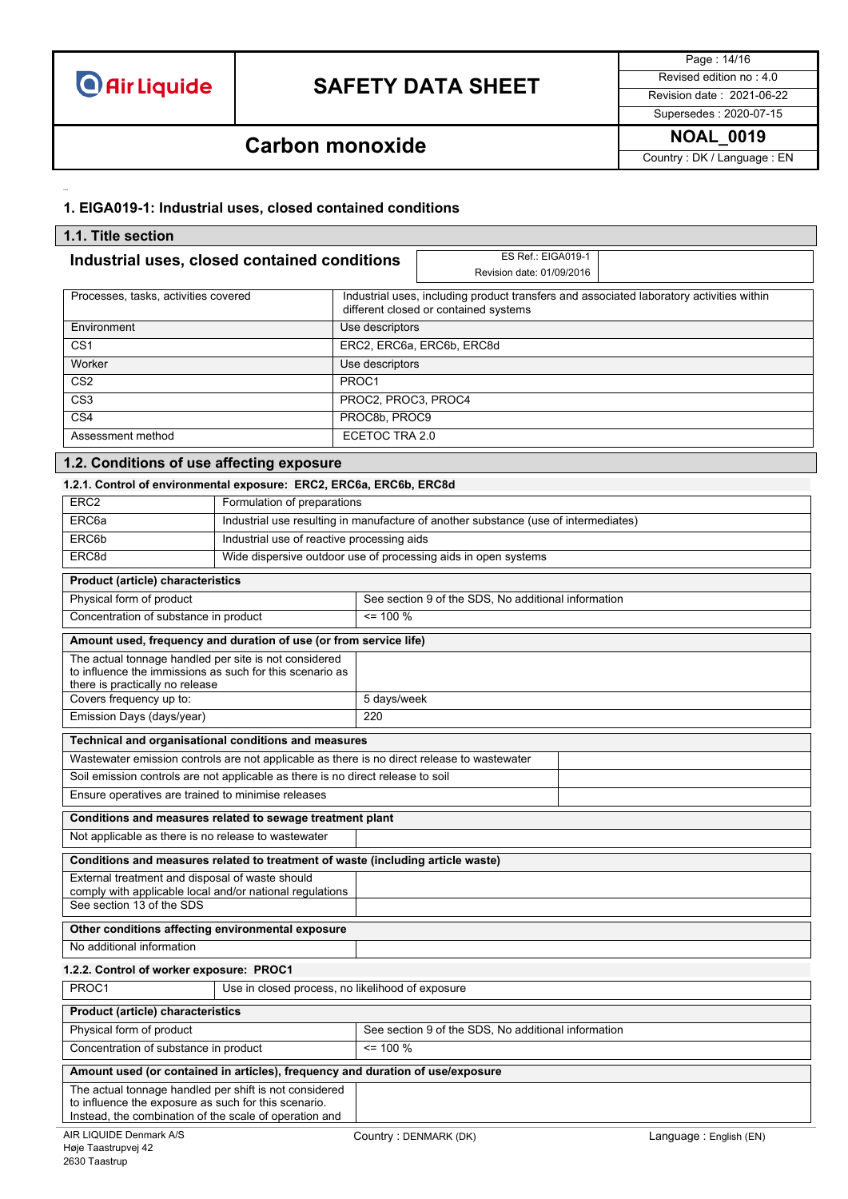

Page : 14/16 Supersedes : 2020-07-15

## **Carbon monoxide NOAL\_0019**

Country : DK / Language : EN

### **1. EIGA019-1: Industrial uses, closed contained conditions**

| 1.1. Title section                                                                                             |                                                                                                                                   |                           |                                                                                     |                        |
|----------------------------------------------------------------------------------------------------------------|-----------------------------------------------------------------------------------------------------------------------------------|---------------------------|-------------------------------------------------------------------------------------|------------------------|
| Industrial uses, closed contained conditions                                                                   |                                                                                                                                   |                           | ES Ref.: EIGA019-1                                                                  |                        |
|                                                                                                                |                                                                                                                                   |                           | Revision date: 01/09/2016                                                           |                        |
| Processes, tasks, activities covered                                                                           | Industrial uses, including product transfers and associated laboratory activities within<br>different closed or contained systems |                           |                                                                                     |                        |
| Environment                                                                                                    |                                                                                                                                   | Use descriptors           |                                                                                     |                        |
| CS <sub>1</sub>                                                                                                |                                                                                                                                   | ERC2, ERC6a, ERC6b, ERC8d |                                                                                     |                        |
| Worker                                                                                                         |                                                                                                                                   | Use descriptors           |                                                                                     |                        |
| CS <sub>2</sub>                                                                                                |                                                                                                                                   | PROC1                     |                                                                                     |                        |
| CS <sub>3</sub>                                                                                                |                                                                                                                                   | PROC2, PROC3, PROC4       |                                                                                     |                        |
| CS4                                                                                                            |                                                                                                                                   | PROC8b, PROC9             |                                                                                     |                        |
| Assessment method                                                                                              |                                                                                                                                   | ECETOC TRA 2.0            |                                                                                     |                        |
| 1.2. Conditions of use affecting exposure                                                                      |                                                                                                                                   |                           |                                                                                     |                        |
| 1.2.1. Control of environmental exposure: ERC2, ERC6a, ERC6b, ERC8d                                            |                                                                                                                                   |                           |                                                                                     |                        |
| ERC <sub>2</sub>                                                                                               | Formulation of preparations                                                                                                       |                           |                                                                                     |                        |
| ERC <sub>6a</sub>                                                                                              |                                                                                                                                   |                           | Industrial use resulting in manufacture of another substance (use of intermediates) |                        |
| ERC6b                                                                                                          | Industrial use of reactive processing aids                                                                                        |                           |                                                                                     |                        |
| ERC8d                                                                                                          |                                                                                                                                   |                           | Wide dispersive outdoor use of processing aids in open systems                      |                        |
| <b>Product (article) characteristics</b>                                                                       |                                                                                                                                   |                           |                                                                                     |                        |
| Physical form of product                                                                                       |                                                                                                                                   |                           | See section 9 of the SDS, No additional information                                 |                        |
| Concentration of substance in product                                                                          |                                                                                                                                   | $= 100 \%$                |                                                                                     |                        |
| Amount used, frequency and duration of use (or from service life)                                              |                                                                                                                                   |                           |                                                                                     |                        |
| The actual tonnage handled per site is not considered                                                          |                                                                                                                                   |                           |                                                                                     |                        |
| to influence the immissions as such for this scenario as                                                       |                                                                                                                                   |                           |                                                                                     |                        |
| there is practically no release<br>Covers frequency up to:                                                     |                                                                                                                                   | 5 days/week               |                                                                                     |                        |
| 220<br>Emission Days (days/year)                                                                               |                                                                                                                                   |                           |                                                                                     |                        |
|                                                                                                                | Technical and organisational conditions and measures                                                                              |                           |                                                                                     |                        |
| Wastewater emission controls are not applicable as there is no direct release to wastewater                    |                                                                                                                                   |                           |                                                                                     |                        |
|                                                                                                                | Soil emission controls are not applicable as there is no direct release to soil                                                   |                           |                                                                                     |                        |
| Ensure operatives are trained to minimise releases                                                             |                                                                                                                                   |                           |                                                                                     |                        |
| Conditions and measures related to sewage treatment plant                                                      |                                                                                                                                   |                           |                                                                                     |                        |
| Not applicable as there is no release to wastewater                                                            |                                                                                                                                   |                           |                                                                                     |                        |
| Conditions and measures related to treatment of waste (including article waste)                                |                                                                                                                                   |                           |                                                                                     |                        |
| External treatment and disposal of waste should                                                                |                                                                                                                                   |                           |                                                                                     |                        |
| comply with applicable local and/or national regulations<br>See section 13 of the SDS                          |                                                                                                                                   |                           |                                                                                     |                        |
| Other conditions affecting environmental exposure                                                              |                                                                                                                                   |                           |                                                                                     |                        |
| No additional information                                                                                      |                                                                                                                                   |                           |                                                                                     |                        |
| 1.2.2. Control of worker exposure: PROC1                                                                       |                                                                                                                                   |                           |                                                                                     |                        |
| PROC1                                                                                                          | Use in closed process, no likelihood of exposure                                                                                  |                           |                                                                                     |                        |
| <b>Product (article) characteristics</b>                                                                       |                                                                                                                                   |                           |                                                                                     |                        |
| Physical form of product                                                                                       |                                                                                                                                   |                           | See section 9 of the SDS, No additional information                                 |                        |
|                                                                                                                | $= 100 %$<br>Concentration of substance in product                                                                                |                           |                                                                                     |                        |
| Amount used (or contained in articles), frequency and duration of use/exposure                                 |                                                                                                                                   |                           |                                                                                     |                        |
| The actual tonnage handled per shift is not considered                                                         |                                                                                                                                   |                           |                                                                                     |                        |
| to influence the exposure as such for this scenario.<br>Instead, the combination of the scale of operation and |                                                                                                                                   |                           |                                                                                     |                        |
| AIR LIQUIDE Denmark A/S                                                                                        |                                                                                                                                   | Country: DENMARK (DK)     |                                                                                     | Language: English (EN) |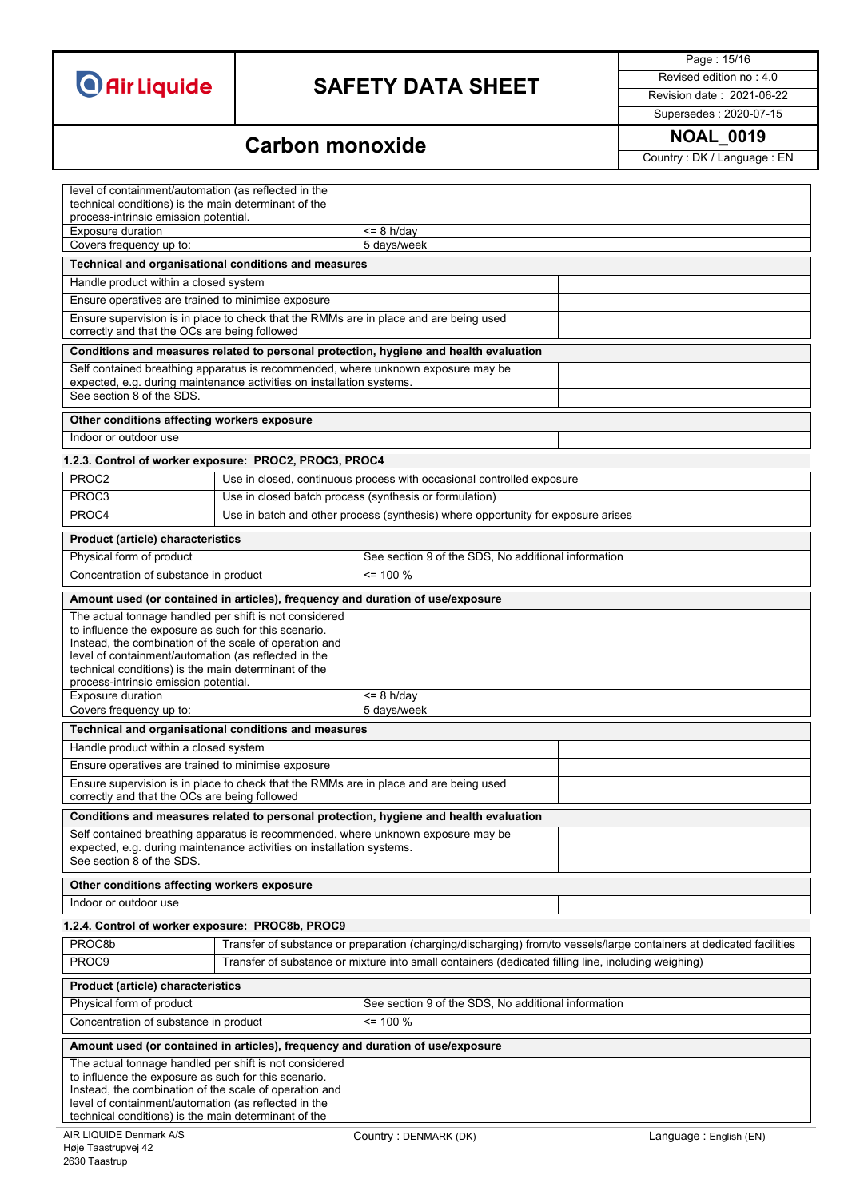# **SAFETY DATA SHEET** Revised edition no : 4.0

Page : 15/16

Supersedes : 2020-07-15

## **Carbon monoxide NOAL\_0019**

Country : DK / Language : EN

| level of containment/automation (as reflected in the<br>technical conditions) is the main determinant of the<br>process-intrinsic emission potential.                                                                                                                                    |                                                                                                                      |
|------------------------------------------------------------------------------------------------------------------------------------------------------------------------------------------------------------------------------------------------------------------------------------------|----------------------------------------------------------------------------------------------------------------------|
| <b>Exposure duration</b>                                                                                                                                                                                                                                                                 | $= 8$ h/day                                                                                                          |
| Covers frequency up to:                                                                                                                                                                                                                                                                  | 5 days/week                                                                                                          |
| Technical and organisational conditions and measures                                                                                                                                                                                                                                     |                                                                                                                      |
| Handle product within a closed system                                                                                                                                                                                                                                                    |                                                                                                                      |
| Ensure operatives are trained to minimise exposure                                                                                                                                                                                                                                       |                                                                                                                      |
| Ensure supervision is in place to check that the RMMs are in place and are being used<br>correctly and that the OCs are being followed                                                                                                                                                   |                                                                                                                      |
| Conditions and measures related to personal protection, hygiene and health evaluation                                                                                                                                                                                                    |                                                                                                                      |
| Self contained breathing apparatus is recommended, where unknown exposure may be<br>expected, e.g. during maintenance activities on installation systems.<br>See section 8 of the SDS.                                                                                                   |                                                                                                                      |
|                                                                                                                                                                                                                                                                                          |                                                                                                                      |
| Other conditions affecting workers exposure                                                                                                                                                                                                                                              |                                                                                                                      |
| Indoor or outdoor use                                                                                                                                                                                                                                                                    |                                                                                                                      |
| 1.2.3. Control of worker exposure: PROC2, PROC3, PROC4                                                                                                                                                                                                                                   |                                                                                                                      |
| PROC2                                                                                                                                                                                                                                                                                    | Use in closed, continuous process with occasional controlled exposure                                                |
| PROC3                                                                                                                                                                                                                                                                                    | Use in closed batch process (synthesis or formulation)                                                               |
| PROC4                                                                                                                                                                                                                                                                                    | Use in batch and other process (synthesis) where opportunity for exposure arises                                     |
| <b>Product (article) characteristics</b>                                                                                                                                                                                                                                                 |                                                                                                                      |
| Physical form of product                                                                                                                                                                                                                                                                 | See section 9 of the SDS, No additional information                                                                  |
| Concentration of substance in product                                                                                                                                                                                                                                                    | $\leq$ 100 %                                                                                                         |
| Amount used (or contained in articles), frequency and duration of use/exposure                                                                                                                                                                                                           |                                                                                                                      |
| The actual tonnage handled per shift is not considered<br>to influence the exposure as such for this scenario.<br>Instead, the combination of the scale of operation and<br>level of containment/automation (as reflected in the                                                         |                                                                                                                      |
| technical conditions) is the main determinant of the                                                                                                                                                                                                                                     |                                                                                                                      |
| process-intrinsic emission potential.<br><b>Exposure duration</b>                                                                                                                                                                                                                        | $= 8$ h/day                                                                                                          |
| Covers frequency up to:                                                                                                                                                                                                                                                                  | 5 days/week                                                                                                          |
| Technical and organisational conditions and measures                                                                                                                                                                                                                                     |                                                                                                                      |
| Handle product within a closed system                                                                                                                                                                                                                                                    |                                                                                                                      |
| Ensure operatives are trained to minimise exposure                                                                                                                                                                                                                                       |                                                                                                                      |
| Ensure supervision is in place to check that the RMMs are in place and are being used<br>correctly and that the OCs are being followed                                                                                                                                                   |                                                                                                                      |
| Conditions and measures related to personal protection, hygiene and health evaluation                                                                                                                                                                                                    |                                                                                                                      |
| Self contained breathing apparatus is recommended, where unknown exposure may be<br>expected, e.g. during maintenance activities on installation systems.                                                                                                                                |                                                                                                                      |
| See section 8 of the SDS.                                                                                                                                                                                                                                                                |                                                                                                                      |
| Other conditions affecting workers exposure                                                                                                                                                                                                                                              |                                                                                                                      |
| Indoor or outdoor use                                                                                                                                                                                                                                                                    |                                                                                                                      |
| 1.2.4. Control of worker exposure: PROC8b, PROC9                                                                                                                                                                                                                                         |                                                                                                                      |
| PROC8b                                                                                                                                                                                                                                                                                   | Transfer of substance or preparation (charging/discharging) from/to vessels/large containers at dedicated facilities |
| PROC9                                                                                                                                                                                                                                                                                    | Transfer of substance or mixture into small containers (dedicated filling line, including weighing)                  |
| <b>Product (article) characteristics</b>                                                                                                                                                                                                                                                 |                                                                                                                      |
| Physical form of product                                                                                                                                                                                                                                                                 | See section 9 of the SDS, No additional information                                                                  |
| Concentration of substance in product                                                                                                                                                                                                                                                    | $= 100 %$                                                                                                            |
| Amount used (or contained in articles), frequency and duration of use/exposure                                                                                                                                                                                                           |                                                                                                                      |
| The actual tonnage handled per shift is not considered<br>to influence the exposure as such for this scenario.<br>Instead, the combination of the scale of operation and<br>level of containment/automation (as reflected in the<br>technical conditions) is the main determinant of the |                                                                                                                      |
| AIR LIQUIDE Denmark A/S<br>Høje Taastrupvej 42                                                                                                                                                                                                                                           | Country: DENMARK (DK)<br>Language: English (EN)                                                                      |